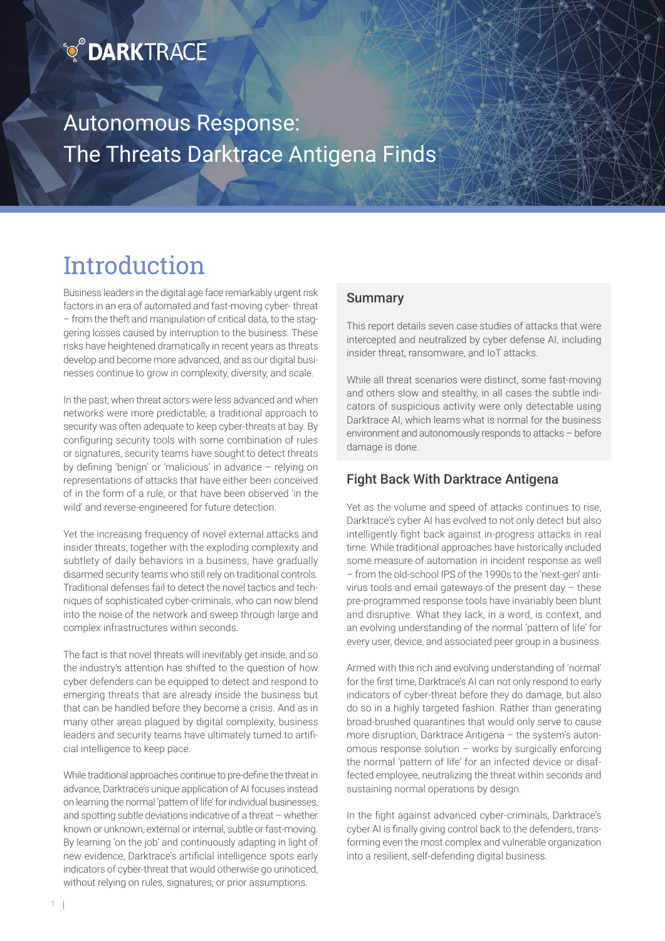## **Q DARKTRACE**

Autonomous Response: The Threats Darktrace Antigena Finds

## Introduction

Business leaders in the digital age face remarkably urgent risk factors in an era of automated and fast-moving cyber- threat – from the theft and manipulation of critical data, to the staggering losses caused by interruption to the business. These risks have heightened dramatically in recent years as threats develop and become more advanced, and as our digital businesses continue to grow in complexity, diversity, and scale.

In the past, when threat actors were less advanced and when networks were more predictable, a traditional approach to security was often adequate to keep cyber-threats at bay. By configuring security tools with some combination of rules or signatures, security teams have sought to detect threats by defining 'benign' or 'malicious' in advance – relying on representations of attacks that have either been conceived of in the form of a rule, or that have been observed 'in the wild' and reverse-engineered for future detection.

Yet the increasing frequency of novel external attacks and insider threats, together with the exploding complexity and subtlety of daily behaviors in a business, have gradually disarmed security teams who still rely on traditional controls. Traditional defenses fail to detect the novel tactics and techniques of sophisticated cyber-criminals, who can now blend into the noise of the network and sweep through large and complex infrastructures within seconds.

The fact is that novel threats will inevitably get inside, and so the industry's attention has shifted to the question of how cyber defenders can be equipped to detect and respond to emerging threats that are already inside the business but that can be handled before they become a crisis. And as in many other areas plagued by digital complexity, business leaders and security teams have ultimately turned to artificial intelligence to keep pace.

While traditional approaches continue to pre-define the threat in advance, Darktrace's unique application of AI focuses instead on learning the normal 'pattern of life' for individual businesses, and spotting subtle deviations indicative of a threat – whether known or unknown, external or internal, subtle or fast-moving. By learning 'on the job' and continuously adapting in light of new evidence, Darktrace's artificial intelligence spots early indicators of cyber-threat that would otherwise go unnoticed, without relying on rules, signatures, or prior assumptions.

#### Summary

This report details seven case studies of attacks that were intercepted and neutralized by cyber defense AI, including insider threat, ransomware, and IoT attacks.

 $M_{\rm H}$  and  $M_{\rm H}$   $M_{\rm H}$   $M_{\rm H}$   $M_{\rm H}$   $M_{\rm H}$ 

While all threat scenarios were distinct, some fast-moving and others slow and stealthy, in all cases the subtle indicators of suspicious activity were only detectable using Darktrace AI, which learns what is normal for the business environment and autonomously responds to attacks – before damage is done.

#### Fight Back With Darktrace Antigena

Yet as the volume and speed of attacks continues to rise, Darktrace's cyber AI has evolved to not only detect but also intelligently fight back against in-progress attacks in real time. While traditional approaches have historically included some measure of automation in incident response as well – from the old-school IPS of the 1990s to the 'next-gen' antivirus tools and email gateways of the present day – these pre-programmed response tools have invariably been blunt and disruptive. What they lack, in a word, is context, and an evolving understanding of the normal 'pattern of life' for every user, device, and associated peer group in a business.

Armed with this rich and evolving understanding of 'normal' for the first time, Darktrace's AI can not only respond to early indicators of cyber-threat before they do damage, but also do so in a highly targeted fashion. Rather than generating broad-brushed quarantines that would only serve to cause more disruption, Darktrace Antigena – the system's autonomous response solution – works by surgically enforcing the normal 'pattern of life' for an infected device or disaffected employee, neutralizing the threat within seconds and sustaining normal operations by design.

In the fight against advanced cyber-criminals, Darktrace's cyber AI is finally giving control back to the defenders, transforming even the most complex and vulnerable organization into a resilient, self-defending digital business.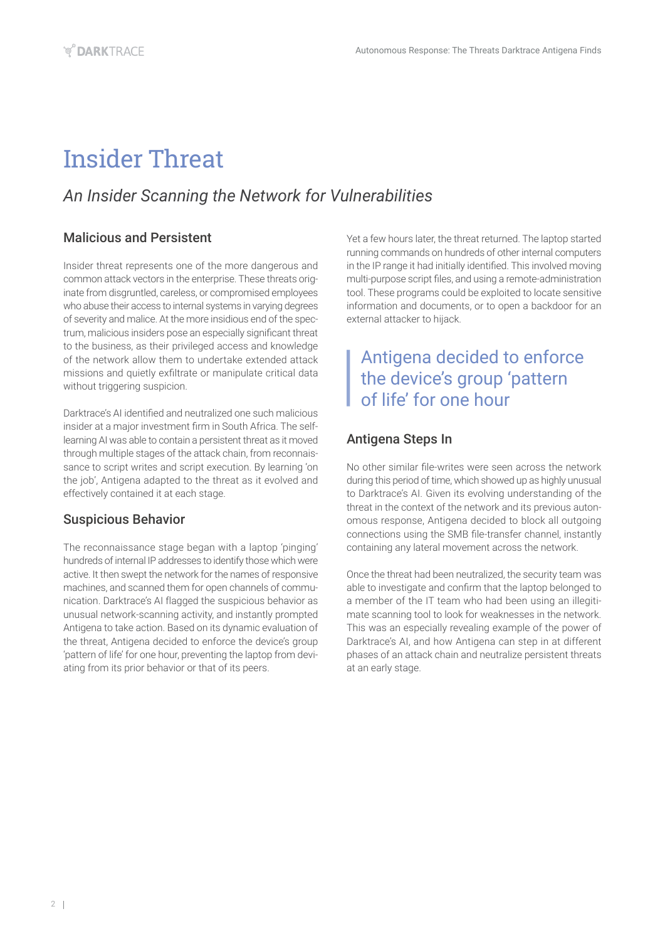## Insider Threat

## *An Insider Scanning the Network for Vulnerabilities*

### Malicious and Persistent

Insider threat represents one of the more dangerous and common attack vectors in the enterprise. These threats originate from disgruntled, careless, or compromised employees who abuse their access to internal systems in varying degrees of severity and malice. At the more insidious end of the spectrum, malicious insiders pose an especially significant threat to the business, as their privileged access and knowledge of the network allow them to undertake extended attack missions and quietly exfiltrate or manipulate critical data without triggering suspicion.

Darktrace's AI identified and neutralized one such malicious insider at a major investment firm in South Africa. The selflearning AI was able to contain a persistent threat as it moved through multiple stages of the attack chain, from reconnaissance to script writes and script execution. By learning 'on the job', Antigena adapted to the threat as it evolved and effectively contained it at each stage.

#### Suspicious Behavior

The reconnaissance stage began with a laptop 'pinging' hundreds of internal IP addresses to identify those which were active. It then swept the network for the names of responsive machines, and scanned them for open channels of communication. Darktrace's AI flagged the suspicious behavior as unusual network-scanning activity, and instantly prompted Antigena to take action. Based on its dynamic evaluation of the threat, Antigena decided to enforce the device's group 'pattern of life' for one hour, preventing the laptop from deviating from its prior behavior or that of its peers.

Yet a few hours later, the threat returned. The laptop started running commands on hundreds of other internal computers in the IP range it had initially identified. This involved moving multi-purpose script files, and using a remote-administration tool. These programs could be exploited to locate sensitive information and documents, or to open a backdoor for an external attacker to hijack.

## Antigena decided to enforce the device's group 'pattern of life' for one hour

### Antigena Steps In

No other similar file-writes were seen across the network during this period of time, which showed up as highly unusual to Darktrace's AI. Given its evolving understanding of the threat in the context of the network and its previous autonomous response, Antigena decided to block all outgoing connections using the SMB file-transfer channel, instantly containing any lateral movement across the network.

Once the threat had been neutralized, the security team was able to investigate and confirm that the laptop belonged to a member of the IT team who had been using an illegitimate scanning tool to look for weaknesses in the network. This was an especially revealing example of the power of Darktrace's AI, and how Antigena can step in at different phases of an attack chain and neutralize persistent threats at an early stage.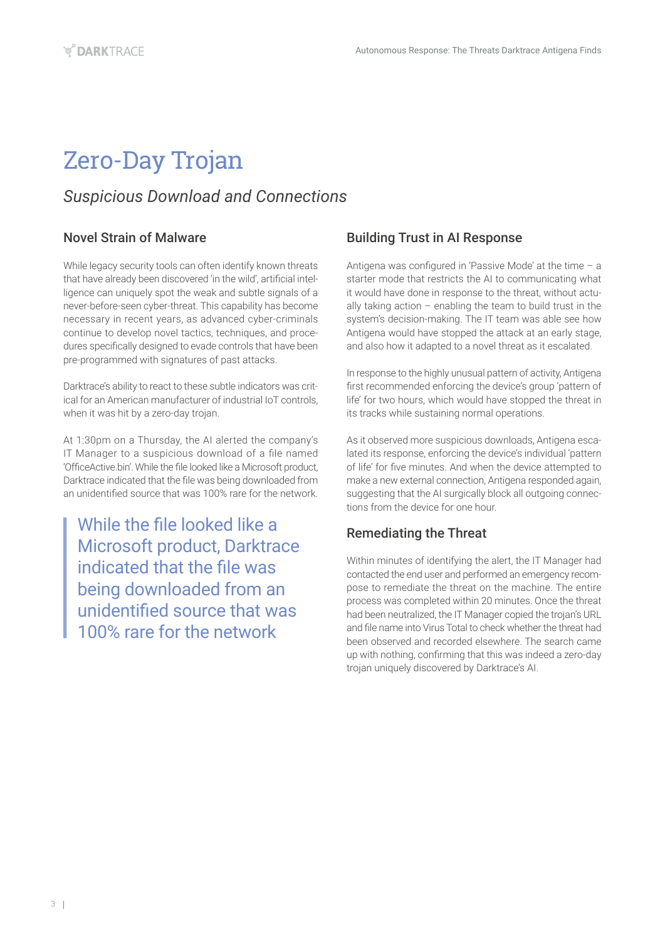## Zero-Day Trojan

## *Suspicious Download and Connections*

#### Novel Strain of Malware

While legacy security tools can often identify known threats that have already been discovered 'in the wild', artificial intelligence can uniquely spot the weak and subtle signals of a never-before-seen cyber-threat. This capability has become necessary in recent years, as advanced cyber-criminals continue to develop novel tactics, techniques, and procedures specifically designed to evade controls that have been pre-programmed with signatures of past attacks.

Darktrace's ability to react to these subtle indicators was critical for an American manufacturer of industrial IoT controls, when it was hit by a zero-day trojan.

At 1:30pm on a Thursday, the AI alerted the company's IT Manager to a suspicious download of a file named 'OfficeActive.bin'. While the file looked like a Microsoft product, Darktrace indicated that the file was being downloaded from an unidentified source that was 100% rare for the network.

While the file looked like a Microsoft product, Darktrace indicated that the file was being downloaded from an unidentified source that was 100% rare for the network

#### Building Trust in AI Response

Antigena was configured in 'Passive Mode' at the time – a starter mode that restricts the AI to communicating what it would have done in response to the threat, without actually taking action  $-$  enabling the team to build trust in the system's decision-making. The IT team was able see how Antigena would have stopped the attack at an early stage, and also how it adapted to a novel threat as it escalated.

In response to the highly unusual pattern of activity, Antigena first recommended enforcing the device's group 'pattern of life' for two hours, which would have stopped the threat in its tracks while sustaining normal operations.

As it observed more suspicious downloads, Antigena escalated its response, enforcing the device's individual 'pattern of life' for five minutes. And when the device attempted to make a new external connection, Antigena responded again, suggesting that the AI surgically block all outgoing connections from the device for one hour.

### Remediating the Threat

Within minutes of identifying the alert, the IT Manager had contacted the end user and performed an emergency recompose to remediate the threat on the machine. The entire process was completed within 20 minutes. Once the threat had been neutralized, the IT Manager copied the trojan's URL and file name into Virus Total to check whether the threat had been observed and recorded elsewhere. The search came up with nothing, confirming that this was indeed a zero-day trojan uniquely discovered by Darktrace's AI.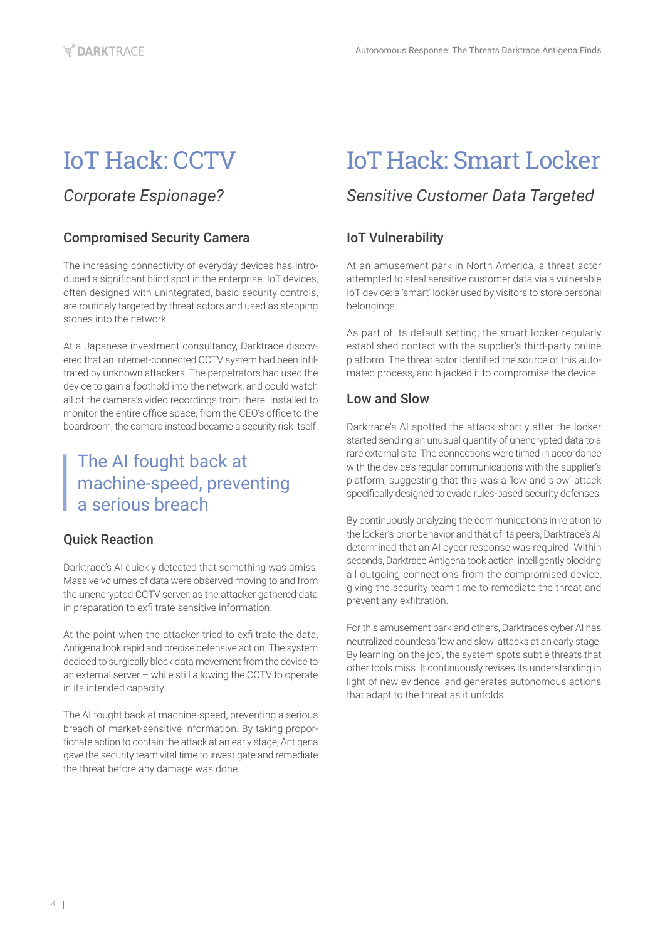## IoT Hack: CCTV

## *Corporate Espionage?*

### Compromised Security Camera

The increasing connectivity of everyday devices has introduced a significant blind spot in the enterprise. IoT devices, often designed with unintegrated, basic security controls, are routinely targeted by threat actors and used as stepping stones into the network.

At a Japanese investment consultancy, Darktrace discovered that an internet-connected CCTV system had been infiltrated by unknown attackers. The perpetrators had used the device to gain a foothold into the network, and could watch all of the camera's video recordings from there. Installed to monitor the entire office space, from the CEO's office to the boardroom, the camera instead became a security risk itself.

## The AI fought back at machine-speed, preventing a serious breach

#### Quick Reaction

Darktrace's AI quickly detected that something was amiss. Massive volumes of data were observed moving to and from the unencrypted CCTV server, as the attacker gathered data in preparation to exfiltrate sensitive information.

At the point when the attacker tried to exfiltrate the data, Antigena took rapid and precise defensive action. The system decided to surgically block data movement from the device to an external server – while still allowing the CCTV to operate in its intended capacity.

The AI fought back at machine-speed, preventing a serious breach of market-sensitive information. By taking proportionate action to contain the attack at an early stage, Antigena gave the security team vital time to investigate and remediate the threat before any damage was done.

## IoT Hack: Smart Locker

## *Sensitive Customer Data Targeted*

### IoT Vulnerability

At an amusement park in North America, a threat actor attempted to steal sensitive customer data via a vulnerable IoT device: a 'smart' locker used by visitors to store personal belongings.

As part of its default setting, the smart locker regularly established contact with the supplier's third-party online platform. The threat actor identified the source of this automated process, and hijacked it to compromise the device.

### Low and Slow

Darktrace's AI spotted the attack shortly after the locker started sending an unusual quantity of unencrypted data to a rare external site. The connections were timed in accordance with the device's regular communications with the supplier's platform, suggesting that this was a 'low and slow' attack specifically designed to evade rules-based security defenses.

By continuously analyzing the communications in relation to the locker's prior behavior and that of its peers, Darktrace's AI determined that an AI cyber response was required. Within seconds, Darktrace Antigena took action, intelligently blocking all outgoing connections from the compromised device, giving the security team time to remediate the threat and prevent any exfiltration.

For this amusement park and others, Darktrace's cyber AI has neutralized countless 'low and slow' attacks at an early stage. By learning 'on the job', the system spots subtle threats that other tools miss. It continuously revises its understanding in light of new evidence, and generates autonomous actions that adapt to the threat as it unfolds.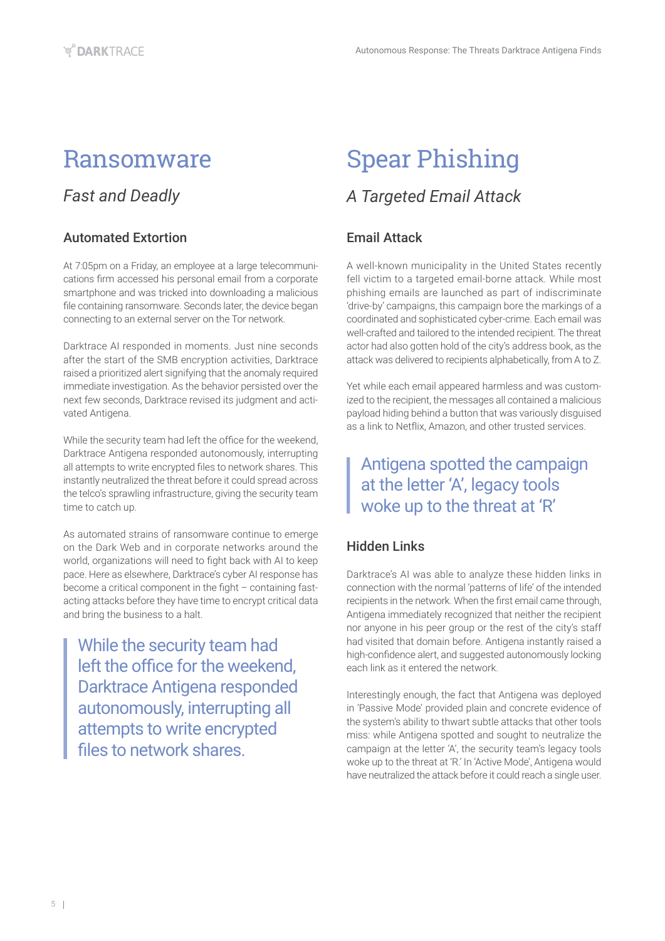## Ransomware

## *Fast and Deadly*

### Automated Extortion

At 7:05pm on a Friday, an employee at a large telecommunications firm accessed his personal email from a corporate smartphone and was tricked into downloading a malicious file containing ransomware. Seconds later, the device began connecting to an external server on the Tor network.

Darktrace AI responded in moments. Just nine seconds after the start of the SMB encryption activities, Darktrace raised a prioritized alert signifying that the anomaly required immediate investigation. As the behavior persisted over the next few seconds, Darktrace revised its judgment and activated Antigena.

While the security team had left the office for the weekend, Darktrace Antigena responded autonomously, interrupting all attempts to write encrypted files to network shares. This instantly neutralized the threat before it could spread across the telco's sprawling infrastructure, giving the security team time to catch up.

As automated strains of ransomware continue to emerge on the Dark Web and in corporate networks around the world, organizations will need to fight back with AI to keep pace. Here as elsewhere, Darktrace's cyber AI response has become a critical component in the fight – containing fastacting attacks before they have time to encrypt critical data and bring the business to a halt.

While the security team had left the office for the weekend, Darktrace Antigena responded autonomously, interrupting all attempts to write encrypted files to network shares.

# Spear Phishing

## *A Targeted Email Attack*

### Email Attack

A well-known municipality in the United States recently fell victim to a targeted email-borne attack. While most phishing emails are launched as part of indiscriminate 'drive-by' campaigns, this campaign bore the markings of a coordinated and sophisticated cyber-crime. Each email was well-crafted and tailored to the intended recipient. The threat actor had also gotten hold of the city's address book, as the attack was delivered to recipients alphabetically, from A to Z.

Yet while each email appeared harmless and was customized to the recipient, the messages all contained a malicious payload hiding behind a button that was variously disguised as a link to Netflix, Amazon, and other trusted services.

## Antigena spotted the campaign at the letter 'A', legacy tools woke up to the threat at 'R'

### Hidden Links

Darktrace's AI was able to analyze these hidden links in connection with the normal 'patterns of life' of the intended recipients in the network. When the first email came through, Antigena immediately recognized that neither the recipient nor anyone in his peer group or the rest of the city's staff had visited that domain before. Antigena instantly raised a high-confidence alert, and suggested autonomously locking each link as it entered the network.

Interestingly enough, the fact that Antigena was deployed in 'Passive Mode' provided plain and concrete evidence of the system's ability to thwart subtle attacks that other tools miss: while Antigena spotted and sought to neutralize the campaign at the letter 'A', the security team's legacy tools woke up to the threat at 'R.' In 'Active Mode', Antigena would have neutralized the attack before it could reach a single user.